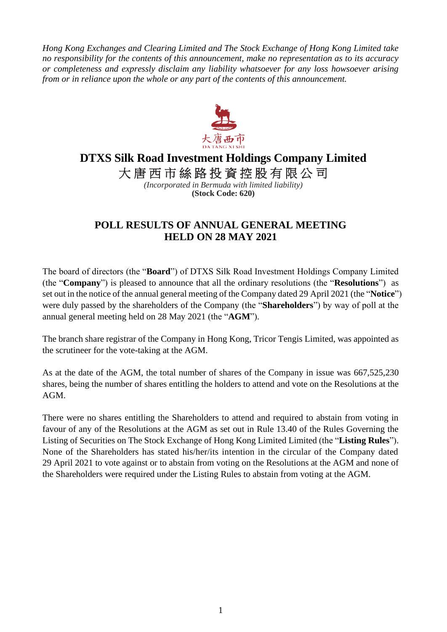*Hong Kong Exchanges and Clearing Limited and The Stock Exchange of Hong Kong Limited take no responsibility for the contents of this announcement, make no representation as to its accuracy or completeness and expressly disclaim any liability whatsoever for any loss howsoever arising from or in reliance upon the whole or any part of the contents of this announcement.*



## **DTXS Silk Road Investment Holdings Company Limited**

大唐西市絲路投資控股有限公司

*(Incorporated in Bermuda with limited liability)* **(Stock Code: 620)**

## **POLL RESULTS OF ANNUAL GENERAL MEETING HELD ON 28 MAY 2021**

The board of directors (the "**Board**") of DTXS Silk Road Investment Holdings Company Limited (the "**Company**") is pleased to announce that all the ordinary resolutions (the "**Resolutions**") as set out in the notice of the annual general meeting of the Company dated 29 April 2021 (the "**Notice**") were duly passed by the shareholders of the Company (the "**Shareholders**") by way of poll at the annual general meeting held on 28 May 2021 (the "**AGM**").

The branch share registrar of the Company in Hong Kong, Tricor Tengis Limited, was appointed as the scrutineer for the vote-taking at the AGM.

As at the date of the AGM, the total number of shares of the Company in issue was 667,525,230 shares, being the number of shares entitling the holders to attend and vote on the Resolutions at the AGM.

There were no shares entitling the Shareholders to attend and required to abstain from voting in favour of any of the Resolutions at the AGM as set out in Rule 13.40 of the Rules Governing the Listing of Securities on The Stock Exchange of Hong Kong Limited Limited (the "**Listing Rules**"). None of the Shareholders has stated his/her/its intention in the circular of the Company dated 29 April 2021 to vote against or to abstain from voting on the Resolutions at the AGM and none of the Shareholders were required under the Listing Rules to abstain from voting at the AGM.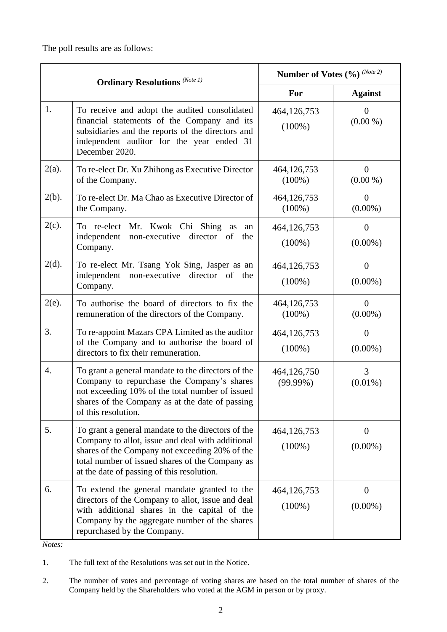The poll results are as follows:

| <b>Ordinary Resolutions</b> (Note 1) |                                                                                                                                                                                                                                                           | Number of Votes (%) (Note 2) |                                |
|--------------------------------------|-----------------------------------------------------------------------------------------------------------------------------------------------------------------------------------------------------------------------------------------------------------|------------------------------|--------------------------------|
|                                      |                                                                                                                                                                                                                                                           | For                          | <b>Against</b>                 |
| 1.                                   | To receive and adopt the audited consolidated<br>financial statements of the Company and its<br>subsidiaries and the reports of the directors and<br>independent auditor for the year ended 31<br>December 2020.                                          | 464,126,753<br>$(100\%)$     | $\overline{0}$<br>$(0.00\%)$   |
| $2(a)$ .                             | To re-elect Dr. Xu Zhihong as Executive Director<br>of the Company.                                                                                                                                                                                       | 464,126,753<br>$(100\%)$     | $\theta$<br>$(0.00\% )$        |
| $2(b)$ .                             | To re-elect Dr. Ma Chao as Executive Director of<br>the Company.                                                                                                                                                                                          | 464,126,753<br>$(100\%)$     | $\overline{0}$<br>$(0.00\%)$   |
| $2(c)$ .                             | To re-elect Mr. Kwok Chi Shing as<br>an<br>independent<br>non-executive director<br>of<br>the<br>Company.                                                                                                                                                 | 464,126,753<br>$(100\%)$     | $\theta$<br>$(0.00\%)$         |
| $2(d)$ .                             | To re-elect Mr. Tsang Yok Sing, Jasper as an<br>independent<br>non-executive director of the<br>Company.                                                                                                                                                  | 464,126,753<br>$(100\%)$     | $\theta$<br>$(0.00\%)$         |
| $2(e)$ .                             | To authorise the board of directors to fix the<br>remuneration of the directors of the Company.                                                                                                                                                           | 464,126,753<br>$(100\%)$     | $\theta$<br>$(0.00\%)$         |
| 3.                                   | To re-appoint Mazars CPA Limited as the auditor<br>of the Company and to authorise the board of<br>directors to fix their remuneration.                                                                                                                   | 464,126,753<br>$(100\%)$     | $\theta$<br>$(0.00\%)$         |
| 4.                                   | To grant a general mandate to the directors of the<br>Company to repurchase the Company's shares<br>not exceeding 10% of the total number of issued<br>shares of the Company as at the date of passing<br>of this resolution.                             | 464,126,750<br>$(99.99\%)$   | 3<br>$(0.01\%)$                |
| 5.                                   | To grant a general mandate to the directors of the<br>Company to allot, issue and deal with additional<br>shares of the Company not exceeding 20% of the<br>total number of issued shares of the Company as<br>at the date of passing of this resolution. | 464,126,753<br>$(100\%)$     | $\theta$<br>$(0.00\%)$         |
| 6.                                   | To extend the general mandate granted to the<br>directors of the Company to allot, issue and deal<br>with additional shares in the capital of the<br>Company by the aggregate number of the shares<br>repurchased by the Company.                         | 464,126,753<br>$(100\%)$     | $\boldsymbol{0}$<br>$(0.00\%)$ |

*Notes:*

1. The full text of the Resolutions was set out in the Notice.

<sup>2.</sup> The number of votes and percentage of voting shares are based on the total number of shares of the Company held by the Shareholders who voted at the AGM in person or by proxy.